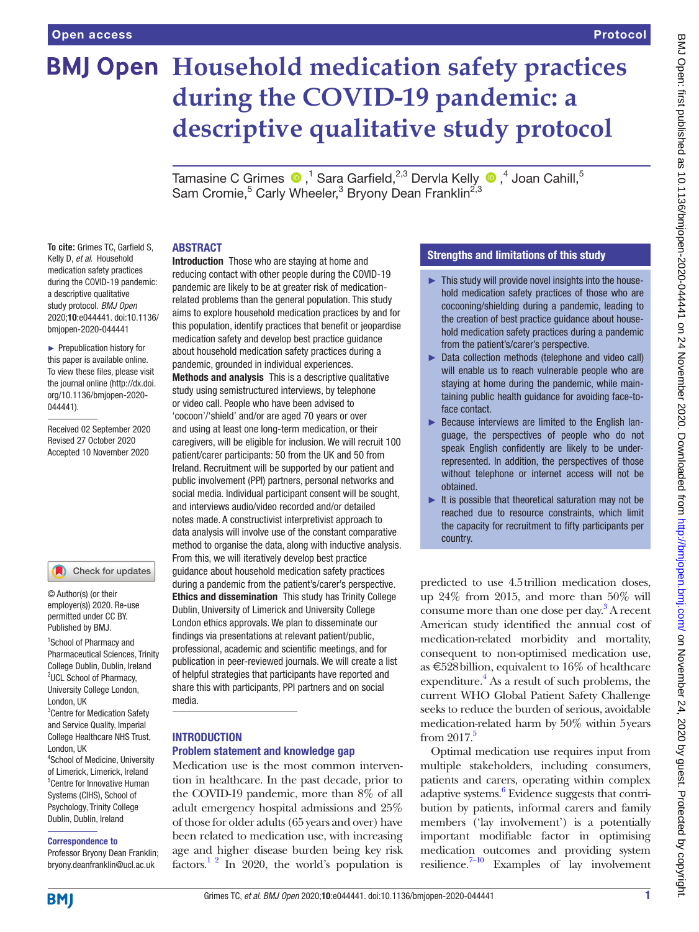# **BMJ Open Household medication safety practices during the COVID-19 pandemic: a descriptive qualitative study protocol**

TamasineC Grimes  $\bigcirc$  ,<sup>1</sup> Sara Garfield,<sup>2,3</sup> Dervla Kelly  $\bigcirc$  ,<sup>4</sup> Joan Cahill,<sup>5</sup> Sam Cromie,<sup>5</sup> Carly Wheeler,<sup>3</sup> Bryony Dean Franklin<sup>2,3</sup>

# ABSTRACT

**To cite:** Grimes TC, Garfield S, Kelly D, *et al*. Household medication safety practices during the COVID-19 pandemic: a descriptive qualitative study protocol. *BMJ Open* 2020;10:e044441. doi:10.1136/ bmjopen-2020-044441

► Prepublication history for this paper is available online. To view these files, please visit the journal online (http://dx.doi. org/10.1136/bmjopen-2020- 044441).

Received 02 September 2020 Revised 27 October 2020 Accepted 10 November 2020

#### Check for updates

© Author(s) (or their employer(s)) 2020. Re-use permitted under CC BY. Published by BMJ.

<sup>1</sup>School of Pharmacy and Pharmaceutical Sciences, Trinity College Dublin, Dublin, Ireland <sup>2</sup>UCL School of Pharmacy, University College London, London, UK <sup>3</sup> Centre for Medication Safety and Service Quality, Imperial College Healthcare NHS Trust, London, UK 4 School of Medicine, University of Limerick, Limerick, Ireland 5 Centre for Innovative Human Systems (CIHS), School of Psychology, Trinity College

# Dublin, Dublin, Ireland Correspondence to

Professor Bryony Dean Franklin; bryony.deanfranklin@ucl.ac.uk

Introduction Those who are staying at home and reducing contact with other people during the COVID-19 pandemic are likely to be at greater risk of medicationrelated problems than the general population. This study aims to explore household medication practices by and for this population, identify practices that benefit or jeopardise medication safety and develop best practice guidance about household medication safety practices during a pandemic, grounded in individual experiences.

Methods and analysis This is a descriptive qualitative study using semistructured interviews, by telephone or video call. People who have been advised to 'cocoon'/'shield' and/or are aged 70 years or over and using at least one long-term medication, or their caregivers, will be eligible for inclusion. We will recruit 100 patient/carer participants: 50 from the UK and 50 from Ireland. Recruitment will be supported by our patient and public involvement (PPI) partners, personal networks and social media. Individual participant consent will be sought, and interviews audio/video recorded and/or detailed notes made. A constructivist interpretivist approach to data analysis will involve use of the constant comparative method to organise the data, along with inductive analysis. From this, we will iteratively develop best practice guidance about household medication safety practices during a pandemic from the patient's/carer's perspective. Ethics and dissemination This study has Trinity College Dublin, University of Limerick and University College London ethics approvals. We plan to disseminate our findings via presentations at relevant patient/public, professional, academic and scientific meetings, and for publication in peer-reviewed journals. We will create a list of helpful strategies that participants have reported and share this with participants, PPI partners and on social media.

## **INTRODUCTION** Problem statement and knowledge gap

Medication use is the most common intervention in healthcare. In the past decade, prior to the COVID-19 pandemic, more than 8% of all adult emergency hospital admissions and 25% of those for older adults (65 years and over) have been related to medication use, with increasing age and higher disease burden being key risk factors.<sup>1 2</sup> In 2020, the world's population is

# Strengths and limitations of this study

- ► This study will provide novel insights into the household medication safety practices of those who are cocooning/shielding during a pandemic, leading to the creation of best practice guidance about household medication safety practices during a pandemic from the patient's/carer's perspective.
- ► Data collection methods (telephone and video call) will enable us to reach vulnerable people who are staying at home during the pandemic, while maintaining public health guidance for avoiding face-toface contact.
- ► Because interviews are limited to the English language, the perspectives of people who do not speak English confidently are likely to be underrepresented. In addition, the perspectives of those without telephone or internet access will not be obtained.
- $\blacktriangleright$  It is possible that theoretical saturation may not be reached due to resource constraints, which limit the capacity for recruitment to fifty participants per country.

predicted to use 4.5trillion medication doses, up 24% from 2015, and more than 50% will consume more than one dose per day[.3](#page-4-1) A recent American study identified the annual cost of medication-related morbidity and mortality, consequent to non-optimised medication use, as  $\text{£}528$ billion, equivalent to 16% of healthcare expenditure. $4$  As a result of such problems, the current WHO Global Patient Safety Challenge seeks to reduce the burden of serious, avoidable medication-related harm by 50% within 5years from  $2017<sup>5</sup>$ 

Optimal medication use requires input from multiple stakeholders, including consumers, patients and carers, operating within complex adaptive systems.<sup>6</sup> Evidence suggests that contribution by patients, informal carers and family members ('lay involvement') is a potentially important modifiable factor in optimising medication outcomes and providing system resilience.<sup>7–10</sup> Examples of lay involvement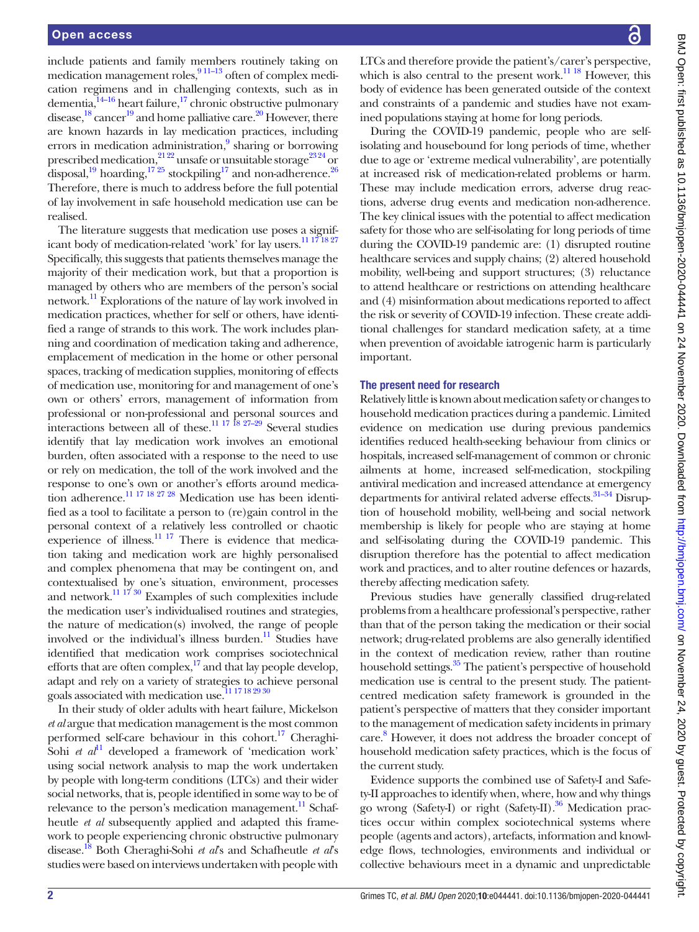include patients and family members routinely taking on medication management roles, $\frac{911-13}{911-13}$  often of complex medication regimens and in challenging contexts, such as in dementia,<sup>14-16</sup> heart failure,<sup>17</sup> chronic obstructive pulmonary disease,<sup>[18](#page-5-3)</sup> cancer<sup>19</sup> and home palliative care.<sup>20</sup> However, there are known hazards in lay medication practices, including errors in medication administration,<sup>9</sup> sharing or borrowing prescribed medication,<sup>21 22</sup> unsafe or unsuitable storage<sup>23 24</sup> or disposal,<sup>19</sup> hoarding,<sup>17 25</sup> stockpiling<sup>17</sup> and non-adherence.<sup>[26](#page-5-8)</sup> Therefore, there is much to address before the full potential of lay involvement in safe household medication use can be realised.

The literature suggests that medication use poses a signif-icant body of medication-related 'work' for lay users.<sup>[11 17 18 27](#page-5-9)</sup> Specifically, this suggests that patients themselves manage the majority of their medication work, but that a proportion is managed by others who are members of the person's social network.<sup>11</sup> Explorations of the nature of lay work involved in medication practices, whether for self or others, have identified a range of strands to this work. The work includes planning and coordination of medication taking and adherence, emplacement of medication in the home or other personal spaces, tracking of medication supplies, monitoring of effects of medication use, monitoring for and management of one's own or others' errors, management of information from professional or non-professional and personal sources and interactions between all of these.<sup>11 17 18 27–29</sup> Several studies identify that lay medication work involves an emotional burden, often associated with a response to the need to use or rely on medication, the toll of the work involved and the response to one's own or another's efforts around medication adherence.<sup>11 17 18 27 28</sup> Medication use has been identified as a tool to facilitate a person to (re)gain control in the personal context of a relatively less controlled or chaotic experience of illness. $\frac{11}{17}$  There is evidence that medication taking and medication work are highly personalised and complex phenomena that may be contingent on, and contextualised by one's situation, environment, processes and network.<sup>11 17 30</sup> Examples of such complexities include the medication user's individualised routines and strategies, the nature of medication(s) involved, the range of people involved or the individual's illness burden.<sup>11</sup> Studies have identified that medication work comprises sociotechnical efforts that are often complex, $^{17}$  and that lay people develop, adapt and rely on a variety of strategies to achieve personal goals associated with medication use.<sup>11 17 18 29 30</sup>

In their study of older adults with heart failure, Mickelson *et al* argue that medication management is the most common performed self-care behaviour in this cohort.<sup>17</sup> Cheraghi-Sohi *et al*<sup>11</sup> developed a framework of 'medication work' using social network analysis to map the work undertaken by people with long-term conditions (LTCs) and their wider social networks, that is, people identified in some way to be of relevance to the person's medication management.<sup>11</sup> Schafheutle *et al* subsequently applied and adapted this framework to people experiencing chronic obstructive pulmonary disease.[18](#page-5-3) Both Cheraghi-Sohi *et al*'s and Schafheutle *et al*'s studies were based on interviews undertaken with people with

LTCs and therefore provide the patient's/carer's perspective, which is also central to the present work. $^{11}$  18 However, this body of evidence has been generated outside of the context and constraints of a pandemic and studies have not examined populations staying at home for long periods.

During the COVID-19 pandemic, people who are selfisolating and housebound for long periods of time, whether due to age or 'extreme medical vulnerability', are potentially at increased risk of medication-related problems or harm. These may include medication errors, adverse drug reactions, adverse drug events and medication non-adherence. The key clinical issues with the potential to affect medication safety for those who are self-isolating for long periods of time during the COVID-19 pandemic are: (1) disrupted routine healthcare services and supply chains; (2) altered household mobility, well-being and support structures; (3) reluctance to attend healthcare or restrictions on attending healthcare and (4) misinformation about medications reported to affect the risk or severity of COVID-19 infection. These create additional challenges for standard medication safety, at a time when prevention of avoidable iatrogenic harm is particularly important.

#### The present need for research

Relatively little is known about medication safety or changes to household medication practices during a pandemic. Limited evidence on medication use during previous pandemics identifies reduced health-seeking behaviour from clinics or hospitals, increased self-management of common or chronic ailments at home, increased self-medication, stockpiling antiviral medication and increased attendance at emergency departments for antiviral related adverse effects.<sup>31–34</sup> Disruption of household mobility, well-being and social network membership is likely for people who are staying at home and self-isolating during the COVID-19 pandemic. This disruption therefore has the potential to affect medication work and practices, and to alter routine defences or hazards, thereby affecting medication safety.

Previous studies have generally classified drug-related problems from a healthcare professional's perspective, rather than that of the person taking the medication or their social network; drug-related problems are also generally identified in the context of medication review, rather than routine household settings.<sup>35</sup> The patient's perspective of household medication use is central to the present study. The patientcentred medication safety framework is grounded in the patient's perspective of matters that they consider important to the management of medication safety incidents in primary care. [8](#page-5-12) However, it does not address the broader concept of household medication safety practices, which is the focus of the current study.

Evidence supports the combined use of Safety-I and Safety-II approaches to identify when, where, how and why things go wrong (Safety-I) or right (Safety-II).<sup>36</sup> Medication practices occur within complex sociotechnical systems where people (agents and actors), artefacts, information and knowledge flows, technologies, environments and individual or collective behaviours meet in a dynamic and unpredictable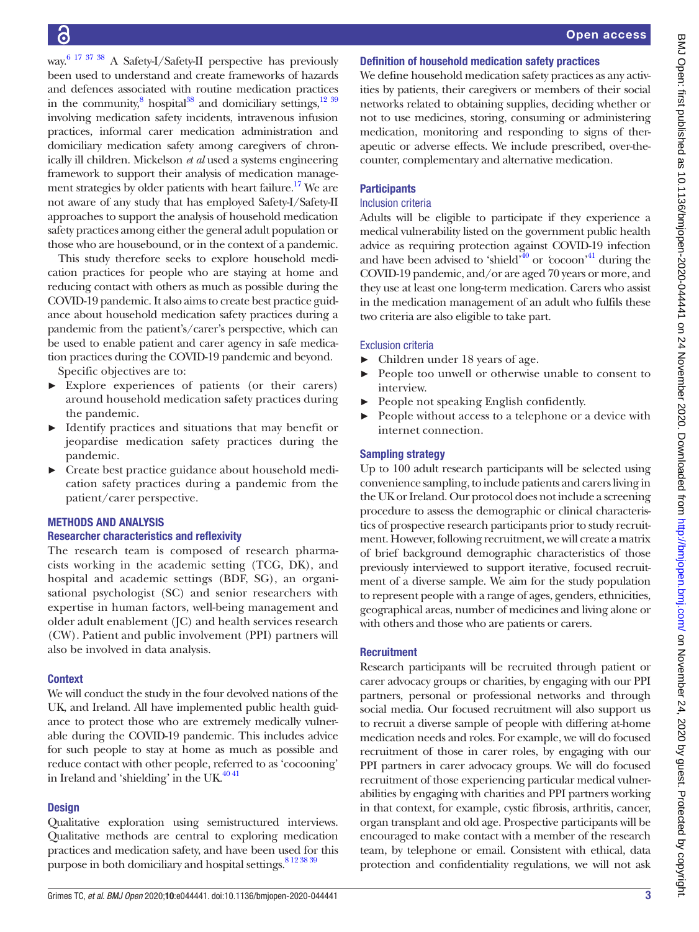way.<sup>[6 17 37 38](#page-4-4)</sup> A Safety-I/Safety-II perspective has previously been used to understand and create frameworks of hazards and defences associated with routine medication practices in the community, $8 \text{ hospital}^{38}$  and domiciliary settings, $12 \frac{39}{2}$ involving medication safety incidents, intravenous infusion practices, informal carer medication administration and domiciliary medication safety among caregivers of chronically ill children. Mickelson *et al* used a systems engineering framework to support their analysis of medication management strategies by older patients with heart failure.<sup>17</sup> We are not aware of any study that has employed Safety-I/Safety-II approaches to support the analysis of household medication safety practices among either the general adult population or those who are housebound, or in the context of a pandemic.

This study therefore seeks to explore household medication practices for people who are staying at home and reducing contact with others as much as possible during the COVID-19 pandemic. It also aims to create best practice guidance about household medication safety practices during a pandemic from the patient's/carer's perspective, which can be used to enable patient and carer agency in safe medication practices during the COVID-19 pandemic and beyond.

Specific objectives are to:

- ► Explore experiences of patients (or their carers) around household medication safety practices during the pandemic.
- ► Identify practices and situations that may benefit or jeopardise medication safety practices during the pandemic.
- ► Create best practice guidance about household medication safety practices during a pandemic from the patient/carer perspective.

# METHODS AND ANALYSIS

## Researcher characteristics and reflexivity

The research team is composed of research pharmacists working in the academic setting (TCG, DK), and hospital and academic settings (BDF, SG), an organisational psychologist (SC) and senior researchers with expertise in human factors, well-being management and older adult enablement (JC) and health services research (CW). Patient and public involvement (PPI) partners will also be involved in data analysis.

## **Context**

We will conduct the study in the four devolved nations of the UK, and Ireland. All have implemented public health guidance to protect those who are extremely medically vulnerable during the COVID-19 pandemic. This includes advice for such people to stay at home as much as possible and reduce contact with other people, referred to as 'cocooning' in Ireland and 'shielding' in the UK. $4041$ 

## **Design**

Qualitative exploration using semistructured interviews. Qualitative methods are central to exploring medication practices and medication safety, and have been used for this purpose in both domiciliary and hospital settings. 8 12 38 39

## Definition of household medication safety practices

We define household medication safety practices as any activities by patients, their caregivers or members of their social networks related to obtaining supplies, deciding whether or not to use medicines, storing, consuming or administering medication, monitoring and responding to signs of therapeutic or adverse effects. We include prescribed, over-thecounter, complementary and alternative medication.

## **Participants**

## Inclusion criteria

Adults will be eligible to participate if they experience a medical vulnerability listed on the government public health advice as requiring protection against COVID-19 infection and have been advised to 'shield'<sup>40</sup> or 'cocoon'<sup>41</sup> during the COVID-19 pandemic, and/or are aged 70 years or more, and they use at least one long-term medication. Carers who assist in the medication management of an adult who fulfils these two criteria are also eligible to take part.

## Exclusion criteria

- ► Children under 18 years of age.
- People too unwell or otherwise unable to consent to interview.
- ► People not speaking English confidently.
- People without access to a telephone or a device with internet connection.

## Sampling strategy

Up to 100 adult research participants will be selected using convenience sampling, to include patients and carers living in the UK or Ireland. Our protocol does not include a screening procedure to assess the demographic or clinical characteristics of prospective research participants prior to study recruitment. However, following recruitment, we will create a matrix of brief background demographic characteristics of those previously interviewed to support iterative, focused recruitment of a diverse sample. We aim for the study population to represent people with a range of ages, genders, ethnicities, geographical areas, number of medicines and living alone or with others and those who are patients or carers.

## **Recruitment**

Research participants will be recruited through patient or carer advocacy groups or charities, by engaging with our PPI partners, personal or professional networks and through social media. Our focused recruitment will also support us to recruit a diverse sample of people with differing at-home medication needs and roles. For example, we will do focused recruitment of those in carer roles, by engaging with our PPI partners in carer advocacy groups. We will do focused recruitment of those experiencing particular medical vulnerabilities by engaging with charities and PPI partners working in that context, for example, cystic fibrosis, arthritis, cancer, organ transplant and old age. Prospective participants will be encouraged to make contact with a member of the research team, by telephone or email. Consistent with ethical, data protection and confidentiality regulations, we will not ask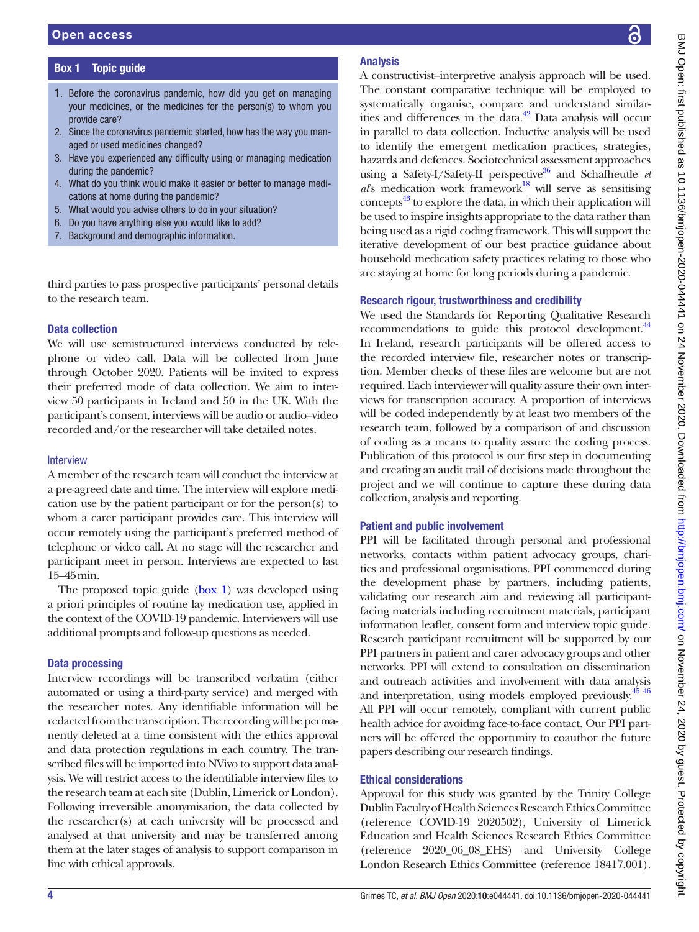# Box 1 Topic guide

- <span id="page-3-0"></span>1. Before the coronavirus pandemic, how did you get on managing your medicines, or the medicines for the person(s) to whom you provide care?
- 2. Since the coronavirus pandemic started, how has the way you managed or used medicines changed?
- 3. Have you experienced any difficulty using or managing medication during the pandemic?
- 4. What do you think would make it easier or better to manage medications at home during the pandemic?
- 5. What would you advise others to do in your situation?
- 6. Do you have anything else you would like to add?
- 7. Background and demographic information.

third parties to pass prospective participants' personal details to the research team.

# Data collection

We will use semistructured interviews conducted by telephone or video call. Data will be collected from June through October 2020. Patients will be invited to express their preferred mode of data collection. We aim to interview 50 participants in Ireland and 50 in the UK. With the participant's consent, interviews will be audio or audio–video recorded and/or the researcher will take detailed notes.

# Interview

A member of the research team will conduct the interview at a pre-agreed date and time. The interview will explore medication use by the patient participant or for the person(s) to whom a carer participant provides care. This interview will occur remotely using the participant's preferred method of telephone or video call. At no stage will the researcher and participant meet in person. Interviews are expected to last 15–45min.

The proposed topic guide [\(box](#page-3-0) 1) was developed using a priori principles of routine lay medication use, applied in the context of the COVID-19 pandemic. Interviewers will use additional prompts and follow-up questions as needed.

# Data processing

Interview recordings will be transcribed verbatim (either automated or using a third-party service) and merged with the researcher notes. Any identifiable information will be redacted from the transcription. The recording will be permanently deleted at a time consistent with the ethics approval and data protection regulations in each country. The transcribed files will be imported into NVivo to support data analysis. We will restrict access to the identifiable interview files to the research team at each site (Dublin, Limerick or London). Following irreversible anonymisation, the data collected by the researcher(s) at each university will be processed and analysed at that university and may be transferred among them at the later stages of analysis to support comparison in line with ethical approvals.

# Analysis

A constructivist–interpretive analysis approach will be used. The constant comparative technique will be employed to systematically organise, compare and understand similarities and differences in the data.<sup>42</sup> Data analysis will occur in parallel to data collection. Inductive analysis will be used to identify the emergent medication practices, strategies, hazards and defences. Sociotechnical assessment approaches using a Safety-I/Safety-II perspective<sup>[36](#page-5-13)</sup> and Schafheutle  $et$ *al*'s medication work framework<sup>18</sup> will serve as sensitising concepts<sup>43</sup> to explore the data, in which their application will be used to inspire insights appropriate to the data rather than being used as a rigid coding framework. This will support the iterative development of our best practice guidance about household medication safety practices relating to those who are staying at home for long periods during a pandemic.

# Research rigour, trustworthiness and credibility

We used the Standards for Reporting Qualitative Research recommendations to guide this protocol development.<sup>44</sup> In Ireland, research participants will be offered access to the recorded interview file, researcher notes or transcription. Member checks of these files are welcome but are not required. Each interviewer will quality assure their own interviews for transcription accuracy. A proportion of interviews will be coded independently by at least two members of the research team, followed by a comparison of and discussion of coding as a means to quality assure the coding process. Publication of this protocol is our first step in documenting and creating an audit trail of decisions made throughout the project and we will continue to capture these during data collection, analysis and reporting.

# Patient and public involvement

PPI will be facilitated through personal and professional networks, contacts within patient advocacy groups, charities and professional organisations. PPI commenced during the development phase by partners, including patients, validating our research aim and reviewing all participantfacing materials including recruitment materials, participant information leaflet, consent form and interview topic guide. Research participant recruitment will be supported by our PPI partners in patient and carer advocacy groups and other networks. PPI will extend to consultation on dissemination and outreach activities and involvement with data analysis and interpretation, using models employed previously.<sup>45</sup> <sup>46</sup> All PPI will occur remotely, compliant with current public health advice for avoiding face-to-face contact. Our PPI partners will be offered the opportunity to coauthor the future papers describing our research findings.

# Ethical considerations

Approval for this study was granted by the Trinity College Dublin Faculty of Health Sciences Research Ethics Committee (reference COVID-19 2020502), University of Limerick Education and Health Sciences Research Ethics Committee (reference 2020\_06\_08\_EHS) and University College London Research Ethics Committee (reference 18417.001).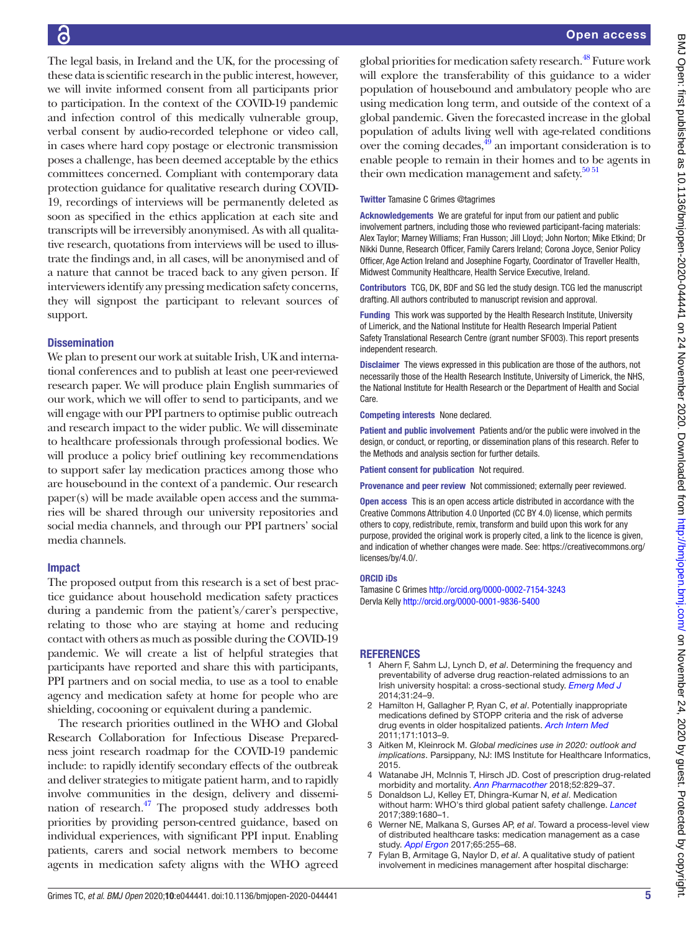The legal basis, in Ireland and the UK, for the processing of these data is scientific research in the public interest, however, we will invite informed consent from all participants prior to participation. In the context of the COVID-19 pandemic and infection control of this medically vulnerable group, verbal consent by audio-recorded telephone or video call, in cases where hard copy postage or electronic transmission poses a challenge, has been deemed acceptable by the ethics committees concerned. Compliant with contemporary data protection guidance for qualitative research during COVID-19, recordings of interviews will be permanently deleted as soon as specified in the ethics application at each site and transcripts will be irreversibly anonymised. As with all qualitative research, quotations from interviews will be used to illustrate the findings and, in all cases, will be anonymised and of a nature that cannot be traced back to any given person. If interviewers identify any pressing medication safety concerns, they will signpost the participant to relevant sources of support.

# **Dissemination**

We plan to present our work at suitable Irish, UK and international conferences and to publish at least one peer-reviewed research paper. We will produce plain English summaries of our work, which we will offer to send to participants, and we will engage with our PPI partners to optimise public outreach and research impact to the wider public. We will disseminate to healthcare professionals through professional bodies. We will produce a policy brief outlining key recommendations to support safer lay medication practices among those who are housebound in the context of a pandemic. Our research paper(s) will be made available open access and the summaries will be shared through our university repositories and social media channels, and through our PPI partners' social media channels.

# Impact

The proposed output from this research is a set of best practice guidance about household medication safety practices during a pandemic from the patient's/carer's perspective, relating to those who are staying at home and reducing contact with others as much as possible during the COVID-19 pandemic. We will create a list of helpful strategies that participants have reported and share this with participants, PPI partners and on social media, to use as a tool to enable agency and medication safety at home for people who are shielding, cocooning or equivalent during a pandemic.

The research priorities outlined in the WHO and Global Research Collaboration for Infectious Disease Preparedness joint research roadmap for the COVID-19 pandemic include: to rapidly identify secondary effects of the outbreak and deliver strategies to mitigate patient harm, and to rapidly involve communities in the design, delivery and dissemination of research[.47](#page-5-22) The proposed study addresses both priorities by providing person-centred guidance, based on individual experiences, with significant PPI input. Enabling patients, carers and social network members to become agents in medication safety aligns with the WHO agreed

global priorities for medication safety research.<sup>48</sup> Future work will explore the transferability of this guidance to a wider population of housebound and ambulatory people who are using medication long term, and outside of the context of a global pandemic. Given the forecasted increase in the global population of adults living well with age-related conditions over the coming decades, $\frac{49}{9}$  an important consideration is to enable people to remain in their homes and to be agents in their own medication management and safety.<sup>50 51</sup>

## Twitter Tamasine C Grimes [@tagrimes](https://twitter.com/tagrimes)

Acknowledgements We are grateful for input from our patient and public involvement partners, including those who reviewed participant-facing materials: Alex Taylor; Marney Williams; Fran Husson; Jill Lloyd; John Norton; Mike Etkind; Dr Nikki Dunne, Research Officer, Family Carers Ireland; Corona Joyce, Senior Policy Officer, Age Action Ireland and Josephine Fogarty, Coordinator of Traveller Health, Midwest Community Healthcare, Health Service Executive, Ireland.

Contributors TCG, DK, BDF and SG led the study design. TCG led the manuscript drafting. All authors contributed to manuscript revision and approval.

Funding This work was supported by the Health Research Institute, University of Limerick, and the National Institute for Health Research Imperial Patient Safety Translational Research Centre (grant number SF003). This report presents independent research.

Disclaimer The views expressed in this publication are those of the authors, not necessarily those of the Health Research Institute, University of Limerick, the NHS, the National Institute for Health Research or the Department of Health and Social Care.

Competing interests None declared.

Patient and public involvement Patients and/or the public were involved in the design, or conduct, or reporting, or dissemination plans of this research. Refer to the Methods and analysis section for further details.

Patient consent for publication Not required.

Provenance and peer review Not commissioned; externally peer reviewed.

Open access This is an open access article distributed in accordance with the Creative Commons Attribution 4.0 Unported (CC BY 4.0) license, which permits others to copy, redistribute, remix, transform and build upon this work for any purpose, provided the original work is properly cited, a link to the licence is given, and indication of whether changes were made. See: [https://creativecommons.org/](https://creativecommons.org/licenses/by/4.0/) [licenses/by/4.0/](https://creativecommons.org/licenses/by/4.0/).

## ORCID iDs

Tamasine C Grimes <http://orcid.org/0000-0002-7154-3243> Dervla Kelly <http://orcid.org/0000-0001-9836-5400>

# **REFERENCES**

- <span id="page-4-0"></span>1 Ahern F, Sahm LJ, Lynch D, *et al*. Determining the frequency and preventability of adverse drug reaction-related admissions to an Irish university hospital: a cross-sectional study. *[Emerg Med J](http://dx.doi.org/10.1136/emermed-2012-201945)* 2014;31:24–9.
- 2 Hamilton H, Gallagher P, Ryan C, *et al*. Potentially inappropriate medications defined by STOPP criteria and the risk of adverse drug events in older hospitalized patients. *[Arch Intern Med](http://dx.doi.org/10.1001/archinternmed.2011.215)* 2011;171:1013–9.
- <span id="page-4-1"></span>3 Aitken M, Kleinrock M. *Global medicines use in 2020: outlook and implications*. Parsippany, NJ: IMS Institute for Healthcare Informatics, 2015.
- <span id="page-4-2"></span>Watanabe JH, McInnis T, Hirsch JD. Cost of prescription drug-related morbidity and mortality. *[Ann Pharmacother](http://dx.doi.org/10.1177/1060028018765159)* 2018;52:829–37.
- <span id="page-4-3"></span>5 Donaldson LJ, Kelley ET, Dhingra-Kumar N, *et al*. Medication without harm: WHO's third global patient safety challenge. *[Lancet](http://dx.doi.org/10.1016/S0140-6736(17)31047-4)* 2017;389:1680–1.
- <span id="page-4-4"></span>6 Werner NE, Malkana S, Gurses AP, *et al*. Toward a process-level view of distributed healthcare tasks: medication management as a case study. *[Appl Ergon](http://dx.doi.org/10.1016/j.apergo.2017.06.020)* 2017;65:255–68.
- <span id="page-4-5"></span>7 Fylan B, Armitage G, Naylor D, *et al*. A qualitative study of patient involvement in medicines management after hospital discharge: